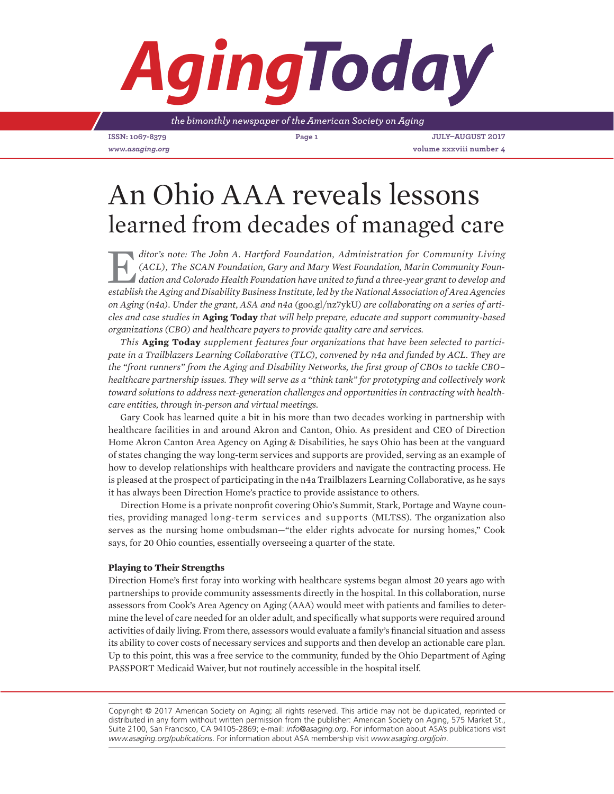# *Aging*

*the bimonthly newspaper of the American Society on Aging*

**ISSN: 1067-8379 Page 1 July–August 2017** *www.asaging.org* **volume xxxviii number 4**

## An Ohio AAA reveals lessons learned from decades of managed care

ditor's note: The John A. Hartford Foundation, Administration for Community Living (ACL), The SCAN Foundation, Gary and Mary West Foundation, Marin Community Foundation and Colorado Health Foundation have united to fund a *(ACL), The SCAN Foundation, Gary and Mary West Foundation, Marin Community Founestablish the Aging and Disability Business Institute, led by the National Association of Area Agencies on Aging (n4a). Under the grant, ASA and n4a (*goo.gl/nz7ykU*) are collaborating on a series of articles and case studies in* **Aging Today** *that will help prepare, educate and support community-based organizations (CBO) and healthcare payers to provide quality care and services.*

*This* **Aging Today** *supplement features four organizations that have been selected to participate in a Trailblazers Learning Collaborative (TLC), convened by n4a and funded by ACL. They are the "front runners" from the Aging and Disability Networks, the first group of CBOs to tackle CBO– healthcare partnership issues. They will serve as a "think tank" for prototyping and collectively work toward solutions to address next-generation challenges and opportunities in contracting with healthcare entities, through in-person and virtual meetings.*

Gary Cook has learned quite a bit in his more than two decades working in partnership with healthcare facilities in and around Akron and Canton, Ohio. As president and CEO of Direction Home Akron Canton Area Agency on Aging & Disabilities, he says Ohio has been at the vanguard of states changing the way long-term services and supports are provided, serving as an example of how to develop relationships with healthcare providers and navigate the contracting process. He is pleased at the prospect of participating in the n4a Trailblazers Learning Collaborative, as he says it has always been Direction Home's practice to provide assistance to others.

Direction Home is a private nonprofit covering Ohio's Summit, Stark, Portage and Wayne counties, providing managed long-term services and supports (MLTSS). The organization also serves as the nursing home ombudsman—"the elder rights advocate for nursing homes," Cook says, for 20 Ohio counties, essentially overseeing a quarter of the state.

### **Playing to Their Strengths**

Direction Home's first foray into working with healthcare systems began almost 20 years ago with partnerships to provide community assessments directly in the hospital. In this collaboration, nurse assessors from Cook's Area Agency on Aging (AAA) would meet with patients and families to determine the level of care needed for an older adult, and specifically what supports were required around activities of daily living. From there, assessors would evaluate a family's financial situation and assess its ability to cover costs of necessary services and supports and then develop an actionable care plan. Up to this point, this was a free service to the community, funded by the Ohio Department of Aging PASSPORT Medicaid Waiver, but not routinely accessible in the hospital itself.

Copyright © 2017 American Society on Aging; all rights reserved. This article may not be duplicated, reprinted or distributed in any form without written permission from the publisher: American Society on Aging, 575 Market St., Suite 2100, San Francisco, CA 94105-2869; e-mail: *info@asaging.org*. For information about ASA's publications visit *www.asaging.org/publications*. For information about ASA membership visit *www.asaging.org/join*.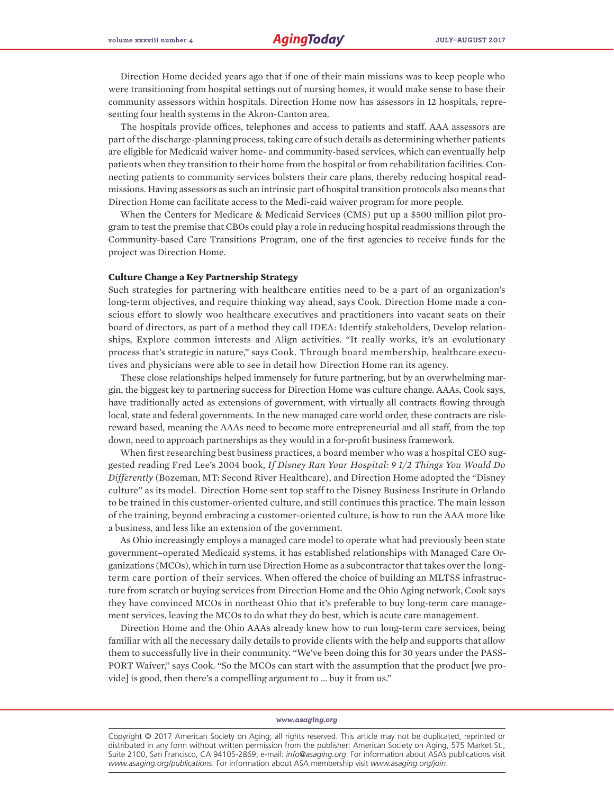Direction Home decided years ago that if one of their main missions was to keep people who were transitioning from hospital settings out of nursing homes, it would make sense to base their community assessors within hospitals. Direction Home now has assessors in 12 hospitals, representing four health systems in the Akron-Canton area.

The hospitals provide offices, telephones and access to patients and staff. AAA assessors are part of the discharge-planning process, taking care of such details as determining whether patients are eligible for Medicaid waiver home- and community-based services, which can eventually help patients when they transition to their home from the hospital or from rehabilitation facilities. Connecting patients to community services bolsters their care plans, thereby reducing hospital readmissions. Having assessors as such an intrinsic part of hospital transition protocols also means that Direction Home can facilitate access to the Medi-caid waiver program for more people.

When the Centers for Medicare & Medicaid Services (CMS) put up a \$500 million pilot program to test the premise that CBOs could play a role in reducing hospital readmissions through the Community-based Care Transitions Program, one of the first agencies to receive funds for the project was Direction Home.

#### **Culture Change a Key Partnership Strategy**

Such strategies for partnering with healthcare entities need to be a part of an organization's long-term objectives, and require thinking way ahead, says Cook. Direction Home made a conscious effort to slowly woo healthcare executives and practitioners into vacant seats on their board of directors, as part of a method they call IDEA: Identify stakeholders, Develop relationships, Explore common interests and Align activities. "It really works, it's an evolutionary process that's strategic in nature," says Cook. Through board membership, healthcare executives and physicians were able to see in detail how Direction Home ran its agency.

These close relationships helped immensely for future partnering, but by an overwhelming margin, the biggest key to partnering success for Direction Home was culture change. AAAs, Cook says, have traditionally acted as extensions of government, with virtually all contracts flowing through local, state and federal governments. In the new managed care world order, these contracts are riskreward based, meaning the AAAs need to become more entrepreneurial and all staff, from the top down, need to approach partnerships as they would in a for-profit business framework.

When first researching best business practices, a board member who was a hospital CEO suggested reading Fred Lee's 2004 book, *If Disney Ran Your Hospital: 9 1/2 Things You Would Do Differently* (Bozeman, MT: Second River Healthcare), and Direction Home adopted the "Disney culture" as its model. Direction Home sent top staff to the Disney Business Institute in Orlando to be trained in this customer-oriented culture, and still continues this practice. The main lesson of the training, beyond embracing a customer-oriented culture, is how to run the AAA more like a business, and less like an extension of the government.

As Ohio increasingly employs a managed care model to operate what had previously been state government–operated Medicaid systems, it has established relationships with Managed Care Organizations (MCOs), which in turn use Direction Home as a subcontractor that takes over the longterm care portion of their services. When offered the choice of building an MLTSS infrastructure from scratch or buying services from Direction Home and the Ohio Aging network, Cook says they have convinced MCOs in northeast Ohio that it's preferable to buy long-term care management services, leaving the MCOs to do what they do best, which is acute care management.

Direction Home and the Ohio AAAs already knew how to run long-term care services, being familiar with all the necessary daily details to provide clients with the help and supports that allow them to successfully live in their community. "We've been doing this for 30 years under the PASS-PORT Waiver," says Cook. "So the MCOs can start with the assumption that the product [we provide] is good, then there's a compelling argument to … buy it from us."

#### *www.asaging.org*

Copyright © 2017 American Society on Aging; all rights reserved. This article may not be duplicated, reprinted or distributed in any form without written permission from the publisher: American Society on Aging, 575 Market St., Suite 2100, San Francisco, CA 94105-2869; e-mail: *info@asaging.org*. For information about ASA's publications visit *www.asaging.org/publications*. For information about ASA membership visit *www.asaging.org/join*.